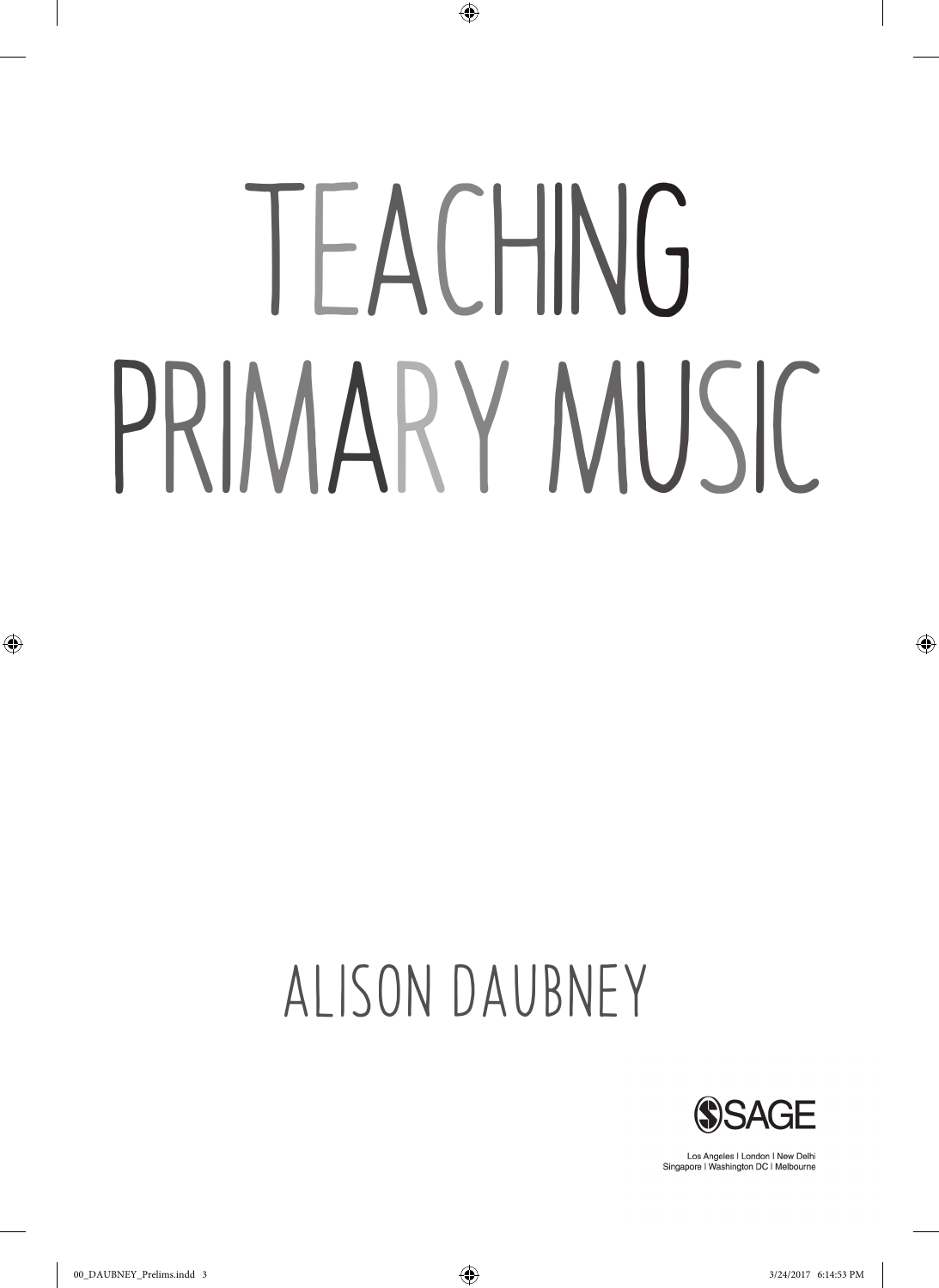# **Teaching**  PRIMARY MUSIC

 $\bigoplus$ 

## **Alison Daubney**



Los Angeles | London | New Delhi Singapore | Washington DC | Melbourne

⊕

◈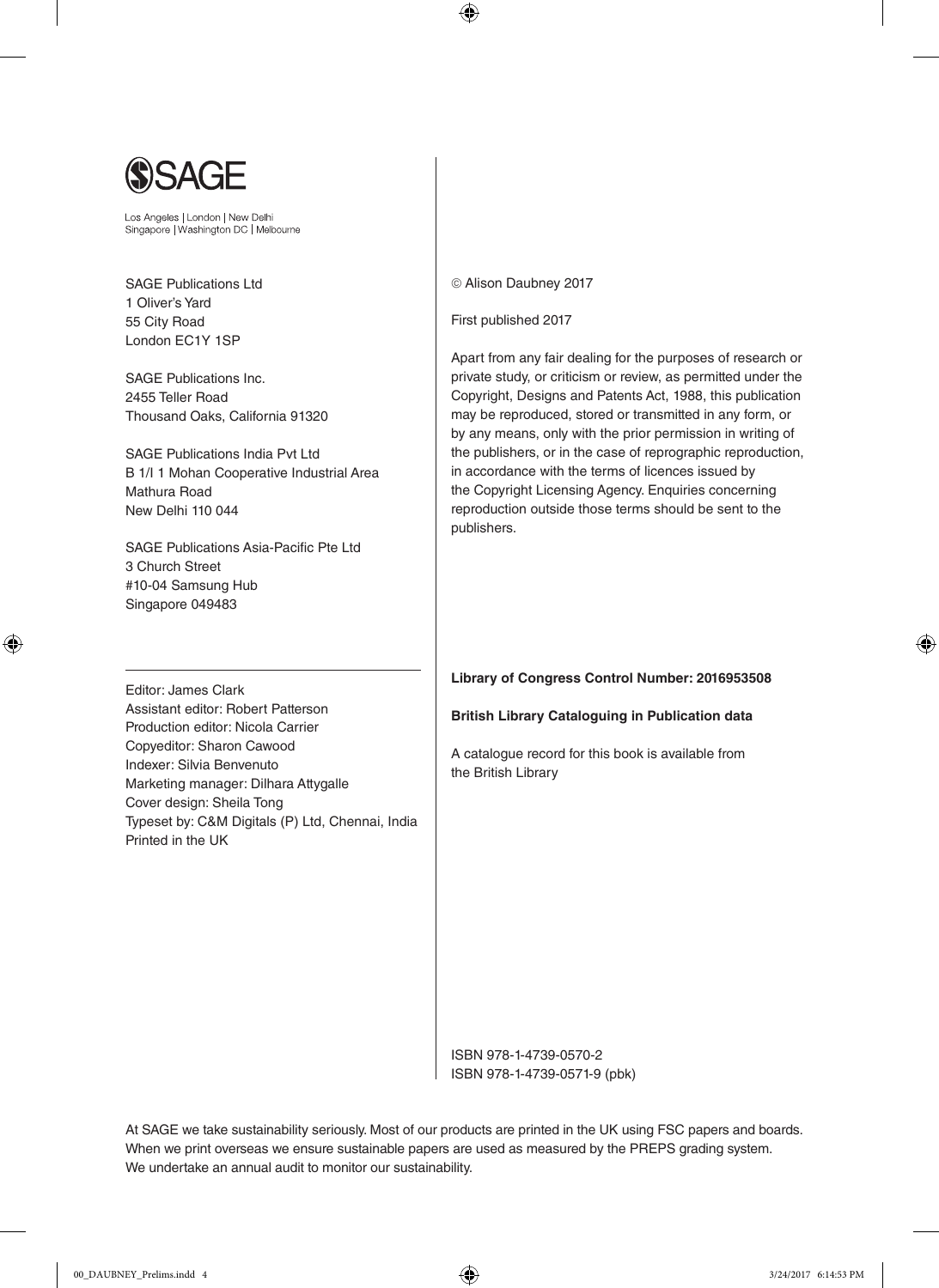

Los Angeles | London | New Delhi Singapore | Washington DC | Melbourne

SAGE Publications Ltd 1 Oliver's Yard 55 City Road London EC1Y 1SP

SAGE Publications Inc. 2455 Teller Road Thousand Oaks, California 91320

SAGE Publications India Pvt Ltd B 1/I 1 Mohan Cooperative Industrial Area Mathura Road New Delhi 110 044

SAGE Publications Asia-Pacific Pte Ltd 3 Church Street #10-04 Samsung Hub Singapore 049483

Assistant editor: Robert Patterson Production editor: Nicola Carrier Copyeditor: Sharon Cawood Indexer: Silvia Benvenuto

Marketing manager: Dilhara Attygalle

Typeset by: C&M Digitals (P) Ltd, Chennai, India

Cover design: Sheila Tong

Printed in the UK

Editor: James Clark

Alison Daubney 2017

First published 2017

 $\bigoplus$ 

Apart from any fair dealing for the purposes of research or private study, or criticism or review, as permitted under the Copyright, Designs and Patents Act, 1988, this publication may be reproduced, stored or transmitted in any form, or by any means, only with the prior permission in writing of the publishers, or in the case of reprographic reproduction, in accordance with the terms of licences issued by the Copyright Licensing Agency. Enquiries concerning reproduction outside those terms should be sent to the publishers.

#### **Library of Congress Control Number: 2016953508**

#### **British Library Cataloguing in Publication data**

A catalogue record for this book is available from the British Library

At SAGE we take sustainability seriously. Most of our products are printed in the UK using FSC papers and boards. When we print overseas we ensure sustainable papers are used as measured by the PREPS grading system. We undertake an annual audit to monitor our sustainability.

⊕

ISBN 978-1-4739-0570-2 ISBN 978-1-4739-0571-9 (pbk)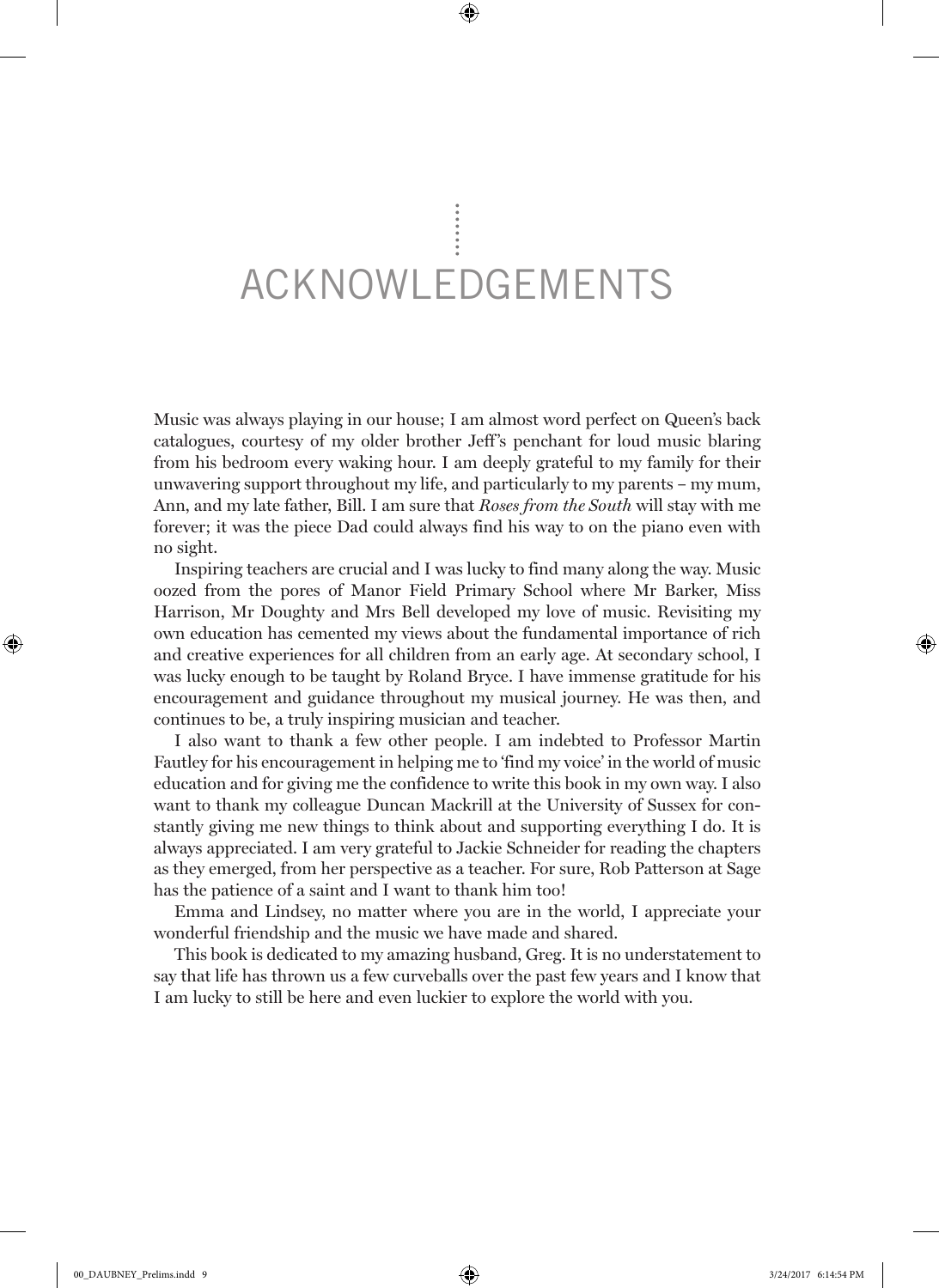## ACKNOWLEDGEMENTS

⊕

Music was always playing in our house; I am almost word perfect on Queen's back catalogues, courtesy of my older brother Jeff 's penchant for loud music blaring from his bedroom every waking hour. I am deeply grateful to my family for their unwavering support throughout my life, and particularly to my parents – my mum, Ann, and my late father, Bill. I am sure that *Roses from the South* will stay with me forever; it was the piece Dad could always find his way to on the piano even with no sight.

Inspiring teachers are crucial and I was lucky to find many along the way. Music oozed from the pores of Manor Field Primary School where Mr Barker, Miss Harrison, Mr Doughty and Mrs Bell developed my love of music. Revisiting my own education has cemented my views about the fundamental importance of rich and creative experiences for all children from an early age. At secondary school, I was lucky enough to be taught by Roland Bryce. I have immense gratitude for his encouragement and guidance throughout my musical journey. He was then, and continues to be, a truly inspiring musician and teacher.

I also want to thank a few other people. I am indebted to Professor Martin Fautley for his encouragement in helping me to 'find my voice' in the world of music education and for giving me the confidence to write this book in my own way. I also want to thank my colleague Duncan Mackrill at the University of Sussex for constantly giving me new things to think about and supporting everything I do. It is always appreciated. I am very grateful to Jackie Schneider for reading the chapters as they emerged, from her perspective as a teacher. For sure, Rob Patterson at Sage has the patience of a saint and I want to thank him too!

Emma and Lindsey, no matter where you are in the world, I appreciate your wonderful friendship and the music we have made and shared.

This book is dedicated to my amazing husband, Greg. It is no understatement to say that life has thrown us a few curveballs over the past few years and I know that I am lucky to still be here and even luckier to explore the world with you.

⊕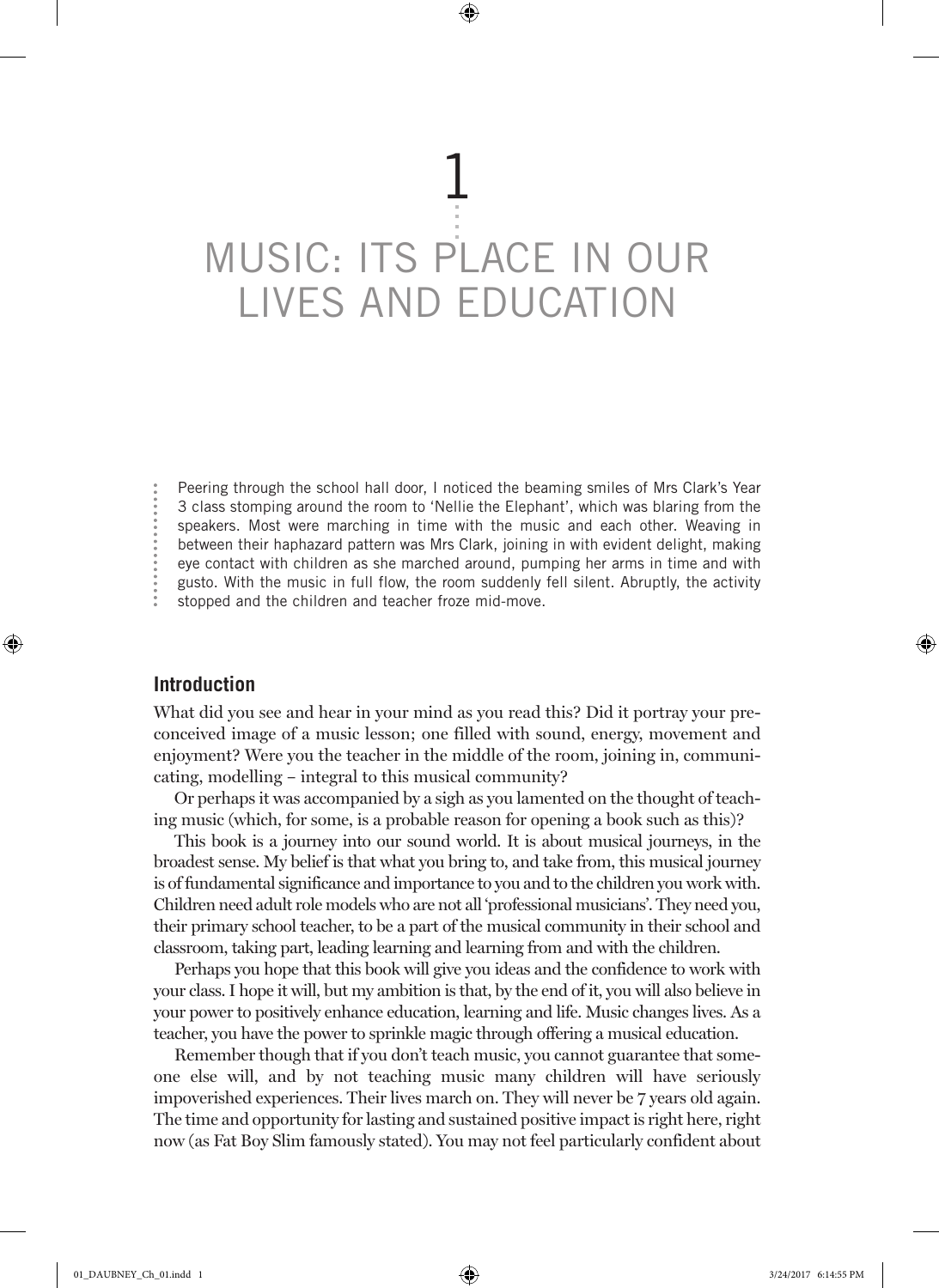⊕

Peering through the school hall door, I noticed the beaming smiles of Mrs Clark's Year 3 class stomping around the room to 'Nellie the Elephant', which was blaring from the speakers. Most were marching in time with the music and each other. Weaving in between their haphazard pattern was Mrs Clark, joining in with evident delight, making eye contact with children as she marched around, pumping her arms in time and with gusto. With the music in full flow, the room suddenly fell silent. Abruptly, the activity stopped and the children and teacher froze mid-move.

#### **Introduction**

⊕

What did you see and hear in your mind as you read this? Did it portray your preconceived image of a music lesson; one filled with sound, energy, movement and enjoyment? Were you the teacher in the middle of the room, joining in, communicating, modelling – integral to this musical community?

Or perhaps it was accompanied by a sigh as you lamented on the thought of teaching music (which, for some, is a probable reason for opening a book such as this)?

This book is a journey into our sound world. It is about musical journeys, in the broadest sense. My belief is that what you bring to, and take from, this musical journey is of fundamental significance and importance to you and to the children you work with. Children need adult role models who are not all 'professional musicians'. They need you, their primary school teacher, to be a part of the musical community in their school and classroom, taking part, leading learning and learning from and with the children.

Perhaps you hope that this book will give you ideas and the confidence to work with your class. I hope it will, but my ambition is that, by the end of it, you will also believe in your power to positively enhance education, learning and life. Music changes lives. As a teacher, you have the power to sprinkle magic through offering a musical education.

Remember though that if you don't teach music, you cannot guarantee that someone else will, and by not teaching music many children will have seriously impoverished experiences. Their lives march on. They will never be 7 years old again. The time and opportunity for lasting and sustained positive impact is right here, right now (as Fat Boy Slim famously stated). You may not feel particularly confident about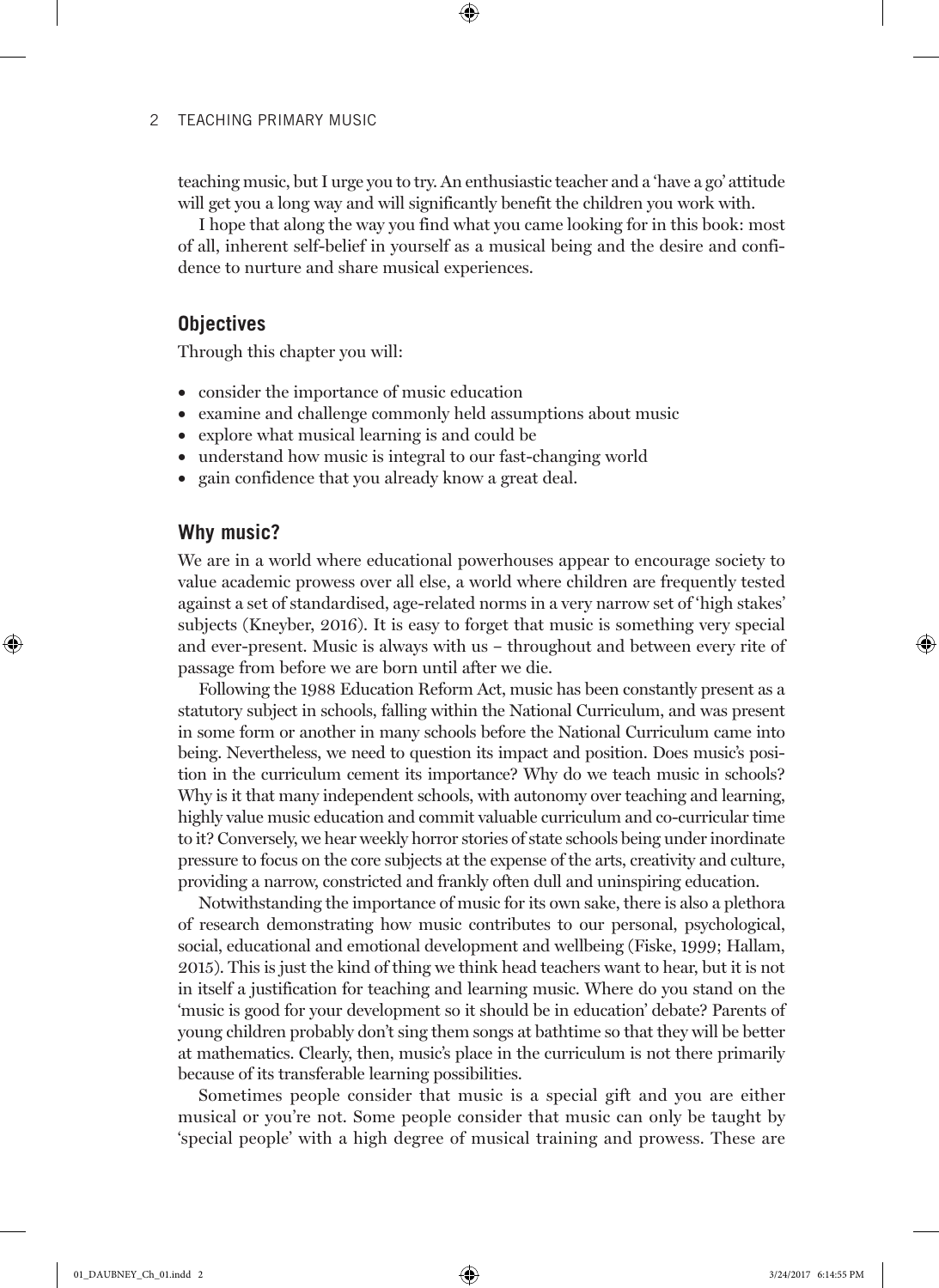teaching music, but I urge you to try. An enthusiastic teacher and a 'have a go' attitude will get you a long way and will significantly benefit the children you work with.

⊕

I hope that along the way you find what you came looking for in this book: most of all, inherent self-belief in yourself as a musical being and the desire and confidence to nurture and share musical experiences.

#### **Objectives**

Through this chapter you will:

- consider the importance of music education
- examine and challenge commonly held assumptions about music
- explore what musical learning is and could be
- understand how music is integral to our fast-changing world
- gain confidence that you already know a great deal.

#### **Why music?**

⊕

We are in a world where educational powerhouses appear to encourage society to value academic prowess over all else, a world where children are frequently tested against a set of standardised, age-related norms in a very narrow set of 'high stakes' subjects (Kneyber, 2016). It is easy to forget that music is something very special and ever-present. Music is always with us – throughout and between every rite of passage from before we are born until after we die.

Following the 1988 Education Reform Act, music has been constantly present as a statutory subject in schools, falling within the National Curriculum, and was present in some form or another in many schools before the National Curriculum came into being. Nevertheless, we need to question its impact and position. Does music's position in the curriculum cement its importance? Why do we teach music in schools? Why is it that many independent schools, with autonomy over teaching and learning, highly value music education and commit valuable curriculum and co-curricular time to it? Conversely, we hear weekly horror stories of state schools being under inordinate pressure to focus on the core subjects at the expense of the arts, creativity and culture, providing a narrow, constricted and frankly often dull and uninspiring education.

Notwithstanding the importance of music for its own sake, there is also a plethora of research demonstrating how music contributes to our personal, psychological, social, educational and emotional development and wellbeing (Fiske, 1999; Hallam, 2015). This is just the kind of thing we think head teachers want to hear, but it is not in itself a justification for teaching and learning music. Where do you stand on the 'music is good for your development so it should be in education' debate? Parents of young children probably don't sing them songs at bathtime so that they will be better at mathematics. Clearly, then, music's place in the curriculum is not there primarily because of its transferable learning possibilities.

Sometimes people consider that music is a special gift and you are either musical or you're not. Some people consider that music can only be taught by 'special people' with a high degree of musical training and prowess. These are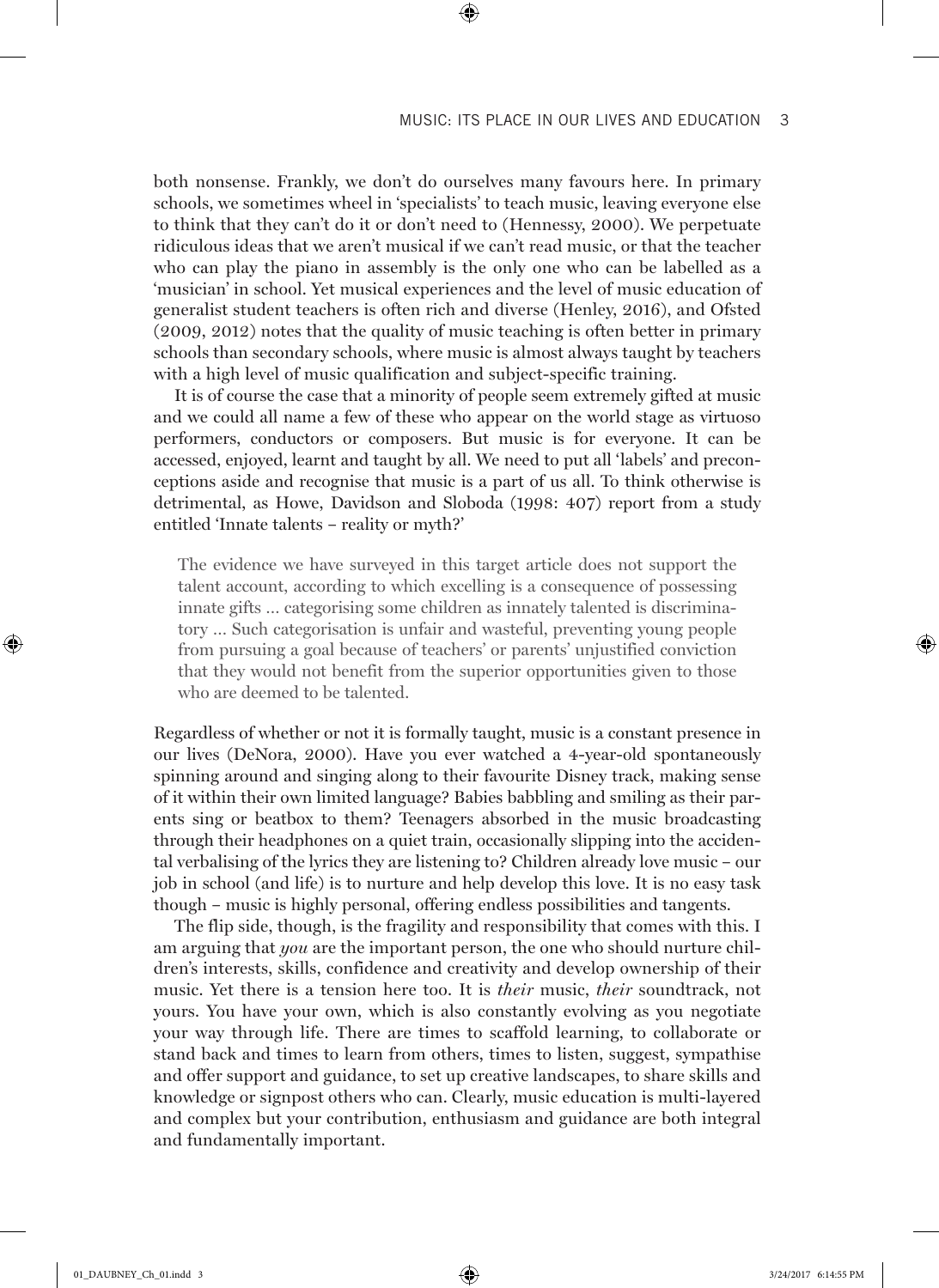both nonsense. Frankly, we don't do ourselves many favours here. In primary schools, we sometimes wheel in 'specialists' to teach music, leaving everyone else to think that they can't do it or don't need to (Hennessy, 2000). We perpetuate ridiculous ideas that we aren't musical if we can't read music, or that the teacher who can play the piano in assembly is the only one who can be labelled as a 'musician' in school. Yet musical experiences and the level of music education of generalist student teachers is often rich and diverse (Henley, 2016), and Ofsted (2009, 2012) notes that the quality of music teaching is often better in primary schools than secondary schools, where music is almost always taught by teachers with a high level of music qualification and subject-specific training.

⊕

It is of course the case that a minority of people seem extremely gifted at music and we could all name a few of these who appear on the world stage as virtuoso performers, conductors or composers. But music is for everyone. It can be accessed, enjoyed, learnt and taught by all. We need to put all 'labels' and preconceptions aside and recognise that music is a part of us all. To think otherwise is detrimental, as Howe, Davidson and Sloboda (1998: 407) report from a study entitled 'Innate talents – reality or myth?'

The evidence we have surveyed in this target article does not support the talent account, according to which excelling is a consequence of possessing innate gifts … categorising some children as innately talented is discriminatory … Such categorisation is unfair and wasteful, preventing young people from pursuing a goal because of teachers' or parents' unjustified conviction that they would not benefit from the superior opportunities given to those who are deemed to be talented.

Regardless of whether or not it is formally taught, music is a constant presence in our lives (DeNora, 2000). Have you ever watched a 4-year-old spontaneously spinning around and singing along to their favourite Disney track, making sense of it within their own limited language? Babies babbling and smiling as their parents sing or beatbox to them? Teenagers absorbed in the music broadcasting through their headphones on a quiet train, occasionally slipping into the accidental verbalising of the lyrics they are listening to? Children already love music – our job in school (and life) is to nurture and help develop this love. It is no easy task though – music is highly personal, offering endless possibilities and tangents.

The flip side, though, is the fragility and responsibility that comes with this. I am arguing that *you* are the important person, the one who should nurture children's interests, skills, confidence and creativity and develop ownership of their music. Yet there is a tension here too. It is *their* music, *their* soundtrack, not yours. You have your own, which is also constantly evolving as you negotiate your way through life. There are times to scaffold learning, to collaborate or stand back and times to learn from others, times to listen, suggest, sympathise and offer support and guidance, to set up creative landscapes, to share skills and knowledge or signpost others who can. Clearly, music education is multi-layered and complex but your contribution, enthusiasm and guidance are both integral and fundamentally important.

♠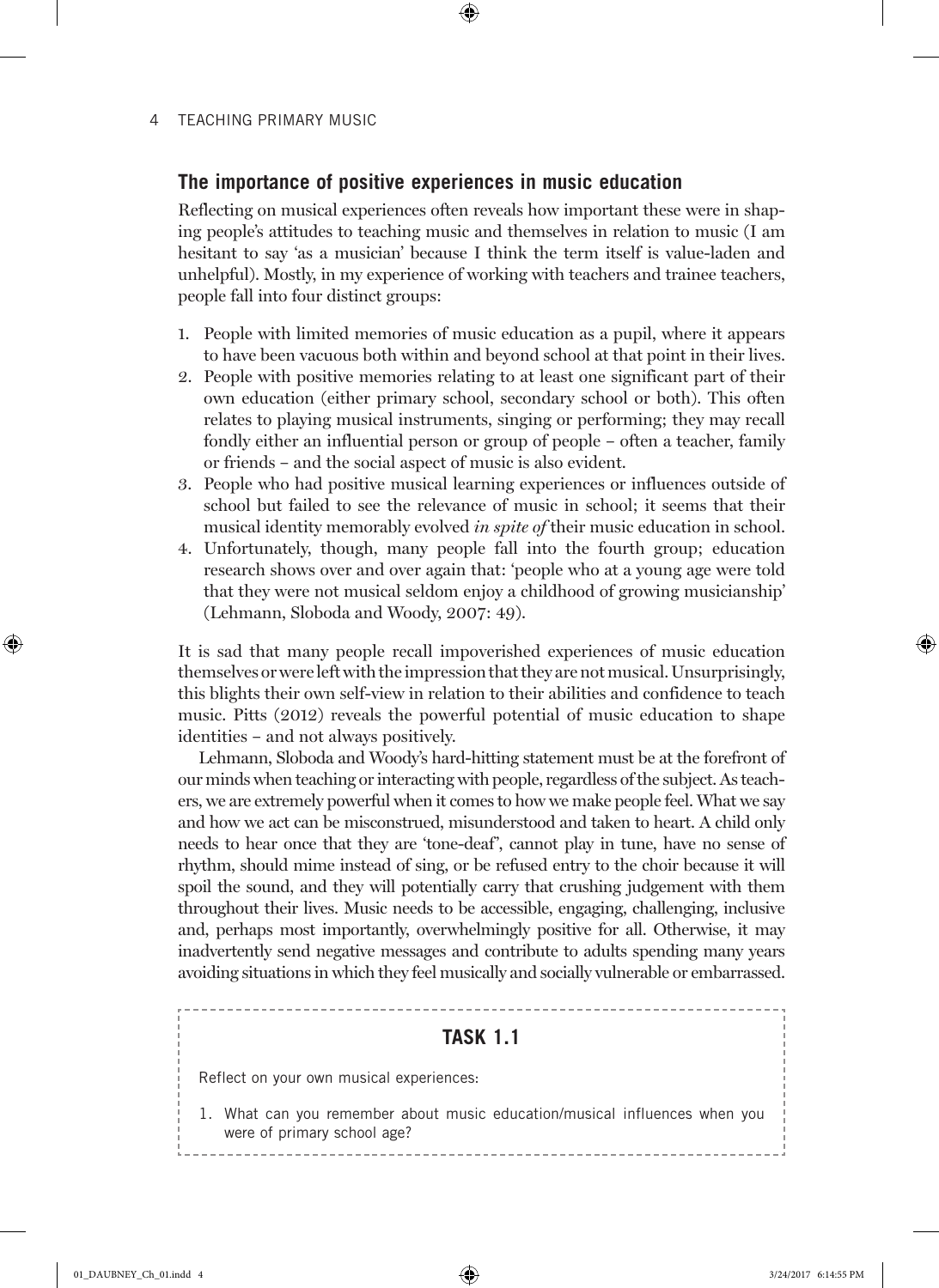#### **The importance of positive experiences in music education**

Reflecting on musical experiences often reveals how important these were in shaping people's attitudes to teaching music and themselves in relation to music (I am hesitant to say 'as a musician' because I think the term itself is value-laden and unhelpful). Mostly, in my experience of working with teachers and trainee teachers, people fall into four distinct groups:

⊕

- 1. People with limited memories of music education as a pupil, where it appears to have been vacuous both within and beyond school at that point in their lives.
- 2. People with positive memories relating to at least one significant part of their own education (either primary school, secondary school or both). This often relates to playing musical instruments, singing or performing; they may recall fondly either an influential person or group of people – often a teacher, family or friends – and the social aspect of music is also evident.
- 3. People who had positive musical learning experiences or influences outside of school but failed to see the relevance of music in school; it seems that their musical identity memorably evolved *in spite of* their music education in school.
- 4. Unfortunately, though, many people fall into the fourth group; education research shows over and over again that: 'people who at a young age were told that they were not musical seldom enjoy a childhood of growing musicianship' (Lehmann, Sloboda and Woody, 2007: 49).

It is sad that many people recall impoverished experiences of music education themselves or were left with the impression that they are not musical. Unsurprisingly, this blights their own self-view in relation to their abilities and confidence to teach music. Pitts (2012) reveals the powerful potential of music education to shape identities – and not always positively.

Lehmann, Sloboda and Woody's hard-hitting statement must be at the forefront of our minds when teaching or interacting with people, regardless of the subject. As teachers, we are extremely powerful when it comes to how we make people feel. What we say and how we act can be misconstrued, misunderstood and taken to heart. A child only needs to hear once that they are 'tone-deaf', cannot play in tune, have no sense of rhythm, should mime instead of sing, or be refused entry to the choir because it will spoil the sound, and they will potentially carry that crushing judgement with them throughout their lives. Music needs to be accessible, engaging, challenging, inclusive and, perhaps most importantly, overwhelmingly positive for all. Otherwise, it may inadvertently send negative messages and contribute to adults spending many years avoiding situations in which they feel musically and socially vulnerable or embarrassed.

#### **TASK 1.1**

Reflect on your own musical experiences:

1. What can you remember about music education/musical influences when you were of primary school age?

01\_DAUBNEY\_Ch\_01.indd 4 3/24/2017 6:14:55 PM

♠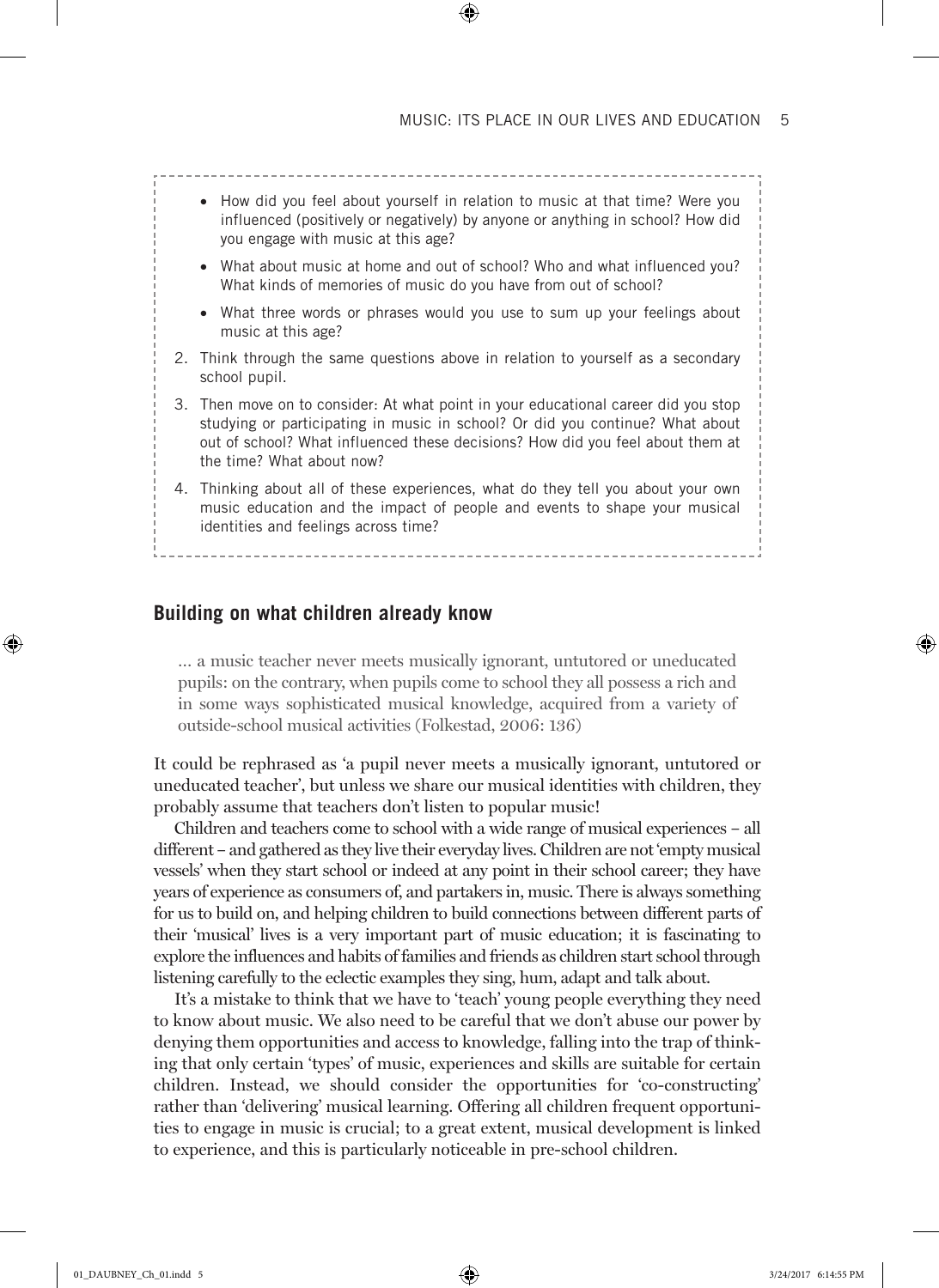• How did you feel about yourself in relation to music at that time? Were you influenced (positively or negatively) by anyone or anything in school? How did you engage with music at this age? • What about music at home and out of school? Who and what influenced you? What kinds of memories of music do you have from out of school? • What three words or phrases would you use to sum up your feelings about music at this age? 2. Think through the same questions above in relation to yourself as a secondary school pupil. 3. Then move on to consider: At what point in your educational career did you stop studying or participating in music in school? Or did you continue? What about out of school? What influenced these decisions? How did you feel about them at the time? What about now? 4. Thinking about all of these experiences, what do they tell you about your own music education and the impact of people and events to shape your musical identities and feelings across time?

⊕

#### **Building on what children already know**

… a music teacher never meets musically ignorant, untutored or uneducated pupils: on the contrary, when pupils come to school they all possess a rich and in some ways sophisticated musical knowledge, acquired from a variety of outside-school musical activities (Folkestad, 2006: 136)

It could be rephrased as 'a pupil never meets a musically ignorant, untutored or uneducated teacher', but unless we share our musical identities with children, they probably assume that teachers don't listen to popular music!

Children and teachers come to school with a wide range of musical experiences – all different – and gathered as they live their everyday lives. Children are not 'empty musical vessels' when they start school or indeed at any point in their school career; they have years of experience as consumers of, and partakers in, music. There is always something for us to build on, and helping children to build connections between different parts of their 'musical' lives is a very important part of music education; it is fascinating to explore the influences and habits of families and friends as children start school through listening carefully to the eclectic examples they sing, hum, adapt and talk about.

It's a mistake to think that we have to 'teach' young people everything they need to know about music. We also need to be careful that we don't abuse our power by denying them opportunities and access to knowledge, falling into the trap of thinking that only certain 'types' of music, experiences and skills are suitable for certain children. Instead, we should consider the opportunities for 'co-constructing' rather than 'delivering' musical learning. Offering all children frequent opportunities to engage in music is crucial; to a great extent, musical development is linked to experience, and this is particularly noticeable in pre-school children.

♠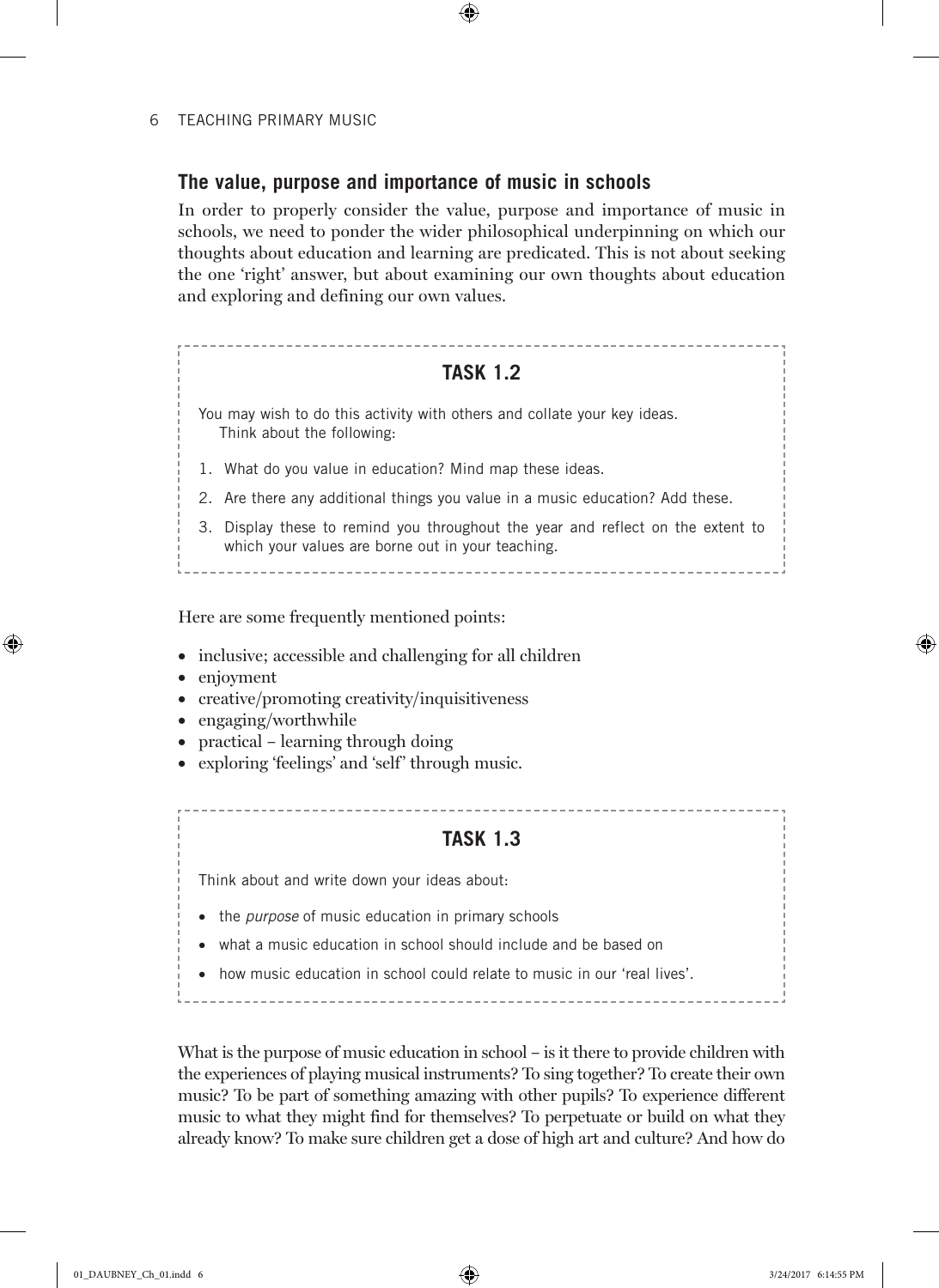#### **The value, purpose and importance of music in schools**

In order to properly consider the value, purpose and importance of music in schools, we need to ponder the wider philosophical underpinning on which our thoughts about education and learning are predicated. This is not about seeking the one 'right' answer, but about examining our own thoughts about education and exploring and defining our own values.

⊕

#### **TASK 1.2**

You may wish to do this activity with others and collate your key ideas. Think about the following:

- 1. What do you value in education? Mind map these ideas.
- 2. Are there any additional things you value in a music education? Add these.
- 3. Display these to remind you throughout the year and reflect on the extent to which your values are borne out in your teaching.

Here are some frequently mentioned points:

- inclusive; accessible and challenging for all children
- enjoyment

♠

- creative/promoting creativity/inquisitiveness
- engaging/worthwhile
- practical learning through doing
- exploring 'feelings' and 'self' through music.

#### **TASK 1.3**

Think about and write down your ideas about:

- the *purpose* of music education in primary schools
- what a music education in school should include and be based on
- how music education in school could relate to music in our 'real lives'.

What is the purpose of music education in school – is it there to provide children with the experiences of playing musical instruments? To sing together? To create their own music? To be part of something amazing with other pupils? To experience different music to what they might find for themselves? To perpetuate or build on what they already know? To make sure children get a dose of high art and culture? And how do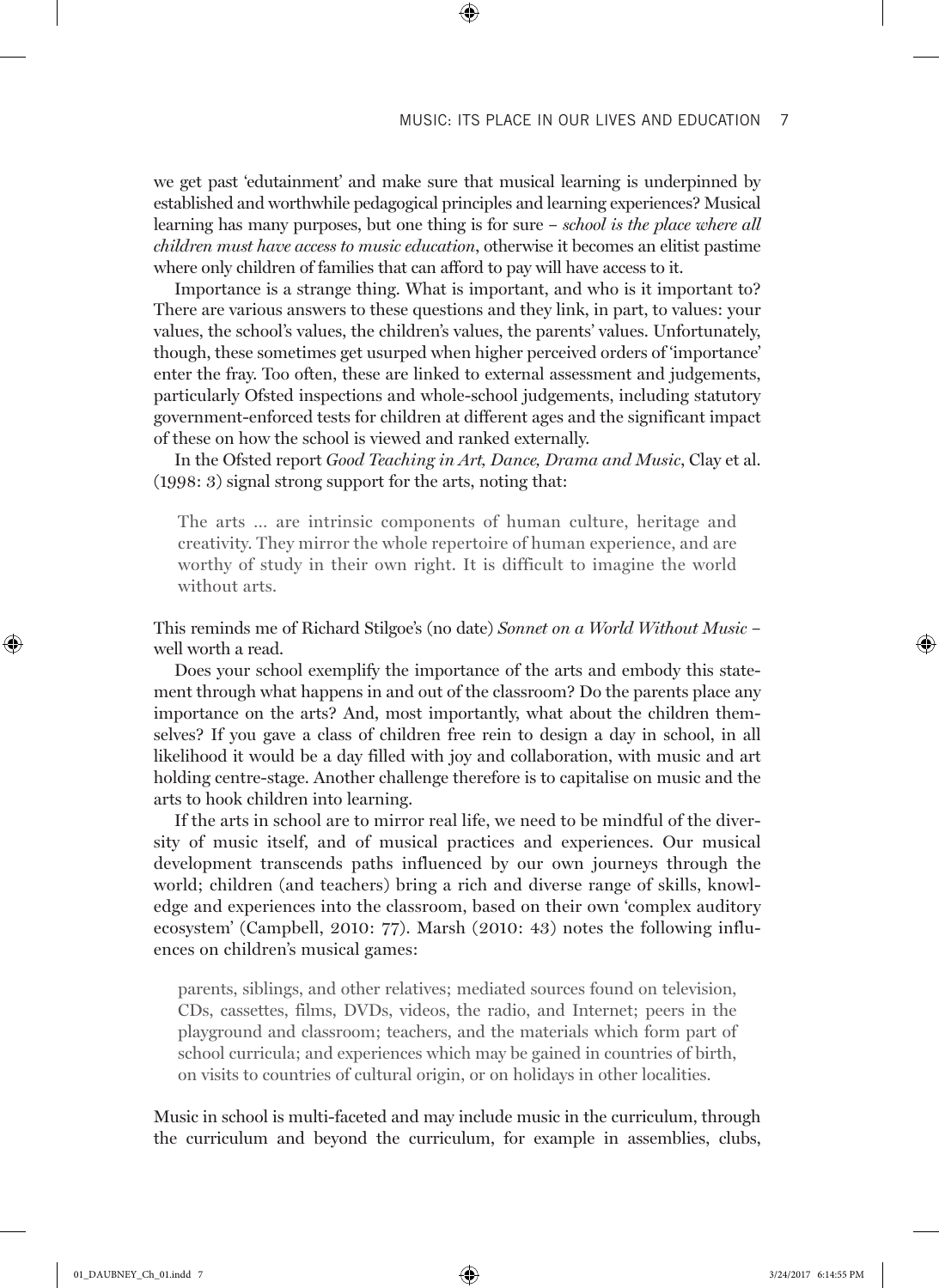we get past 'edutainment' and make sure that musical learning is underpinned by established and worthwhile pedagogical principles and learning experiences? Musical learning has many purposes, but one thing is for sure – *school is the place where all children must have access to music education*, otherwise it becomes an elitist pastime where only children of families that can afford to pay will have access to it.

⊕

Importance is a strange thing. What is important, and who is it important to? There are various answers to these questions and they link, in part, to values: your values, the school's values, the children's values, the parents' values. Unfortunately, though, these sometimes get usurped when higher perceived orders of 'importance' enter the fray. Too often, these are linked to external assessment and judgements, particularly Ofsted inspections and whole-school judgements, including statutory government-enforced tests for children at different ages and the significant impact of these on how the school is viewed and ranked externally.

In the Ofsted report *Good Teaching in Art, Dance, Drama and Music*, Clay et al. (1998: 3) signal strong support for the arts, noting that:

The arts … are intrinsic components of human culture, heritage and creativity. They mirror the whole repertoire of human experience, and are worthy of study in their own right. It is difficult to imagine the world without arts.

This reminds me of Richard Stilgoe's (no date) *Sonnet on a World Without Music* – well worth a read.

Does your school exemplify the importance of the arts and embody this statement through what happens in and out of the classroom? Do the parents place any importance on the arts? And, most importantly, what about the children themselves? If you gave a class of children free rein to design a day in school, in all likelihood it would be a day filled with joy and collaboration, with music and art holding centre-stage. Another challenge therefore is to capitalise on music and the arts to hook children into learning.

If the arts in school are to mirror real life, we need to be mindful of the diversity of music itself, and of musical practices and experiences. Our musical development transcends paths influenced by our own journeys through the world; children (and teachers) bring a rich and diverse range of skills, knowledge and experiences into the classroom, based on their own 'complex auditory ecosystem' (Campbell, 2010: 77). Marsh (2010: 43) notes the following influences on children's musical games:

parents, siblings, and other relatives; mediated sources found on television, CDs, cassettes, films, DVDs, videos, the radio, and Internet; peers in the playground and classroom; teachers, and the materials which form part of school curricula; and experiences which may be gained in countries of birth, on visits to countries of cultural origin, or on holidays in other localities.

Music in school is multi-faceted and may include music in the curriculum, through the curriculum and beyond the curriculum, for example in assemblies, clubs,

⊕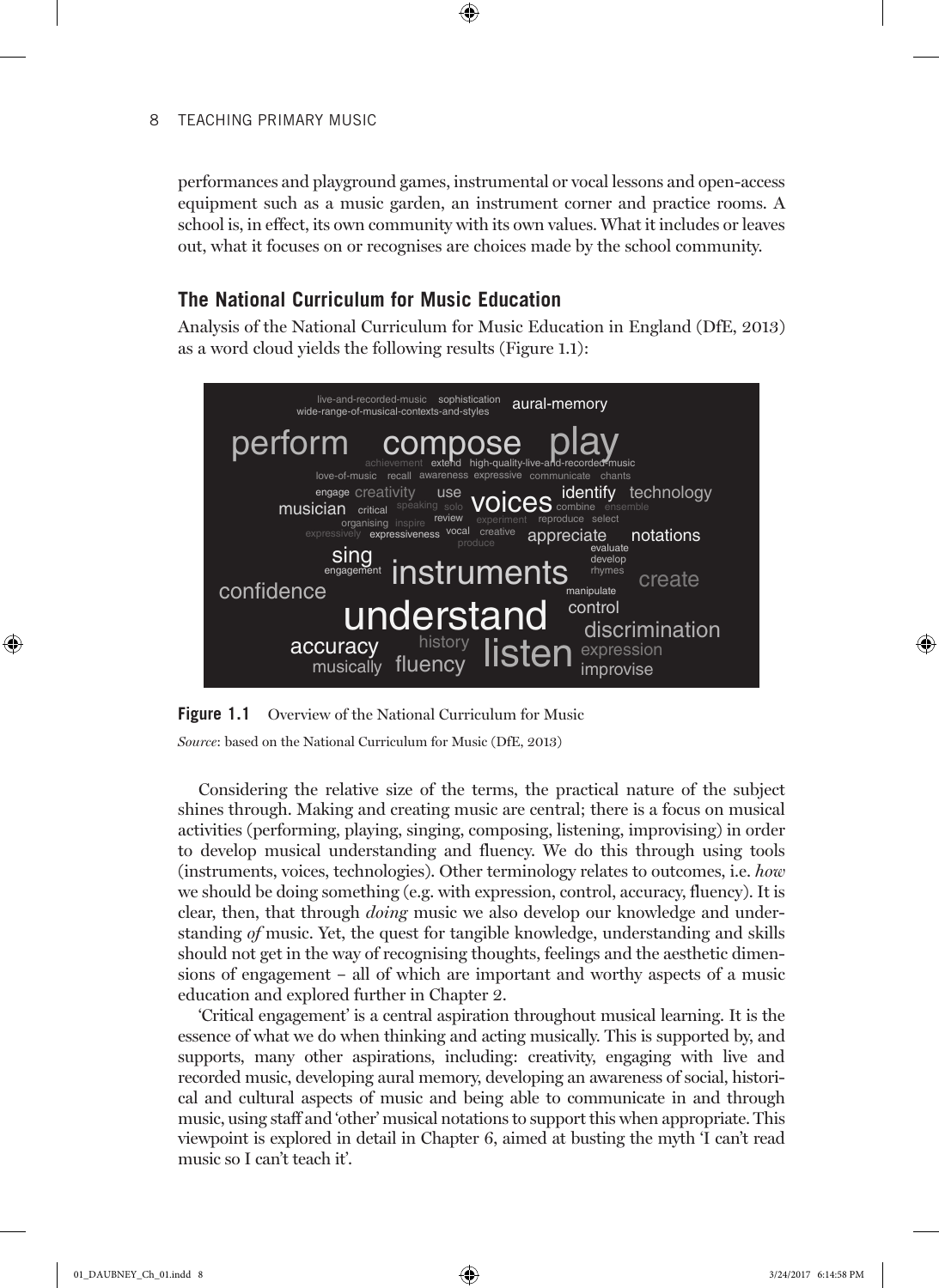performances and playground games, instrumental or vocal lessons and open-access equipment such as a music garden, an instrument corner and practice rooms. A school is, in effect, its own community with its own values. What it includes or leaves out, what it focuses on or recognises are choices made by the school community.

⊕

#### **The National Curriculum for Music Education**

Analysis of the National Curriculum for Music Education in England (DfE, 2013) as a word cloud yields the following results (Figure 1.1):



**Figure 1.1** Overview of the National Curriculum for Music *Source*: based on the National Curriculum for Music (DfE, 2013)

Considering the relative size of the terms, the practical nature of the subject shines through. Making and creating music are central; there is a focus on musical activities (performing, playing, singing, composing, listening, improvising) in order to develop musical understanding and fluency. We do this through using tools (instruments, voices, technologies). Other terminology relates to outcomes, i.e. *how* we should be doing something (e.g. with expression, control, accuracy, fluency). It is clear, then, that through *doing* music we also develop our knowledge and understanding *of* music. Yet, the quest for tangible knowledge, understanding and skills should not get in the way of recognising thoughts, feelings and the aesthetic dimensions of engagement – all of which are important and worthy aspects of a music education and explored further in Chapter 2.

'Critical engagement' is a central aspiration throughout musical learning. It is the essence of what we do when thinking and acting musically. This is supported by, and supports, many other aspirations, including: creativity, engaging with live and recorded music, developing aural memory, developing an awareness of social, historical and cultural aspects of music and being able to communicate in and through music, using staff and 'other' musical notations to support this when appropriate. This viewpoint is explored in detail in Chapter 6, aimed at busting the myth 'I can't read music so I can't teach it'.

⊕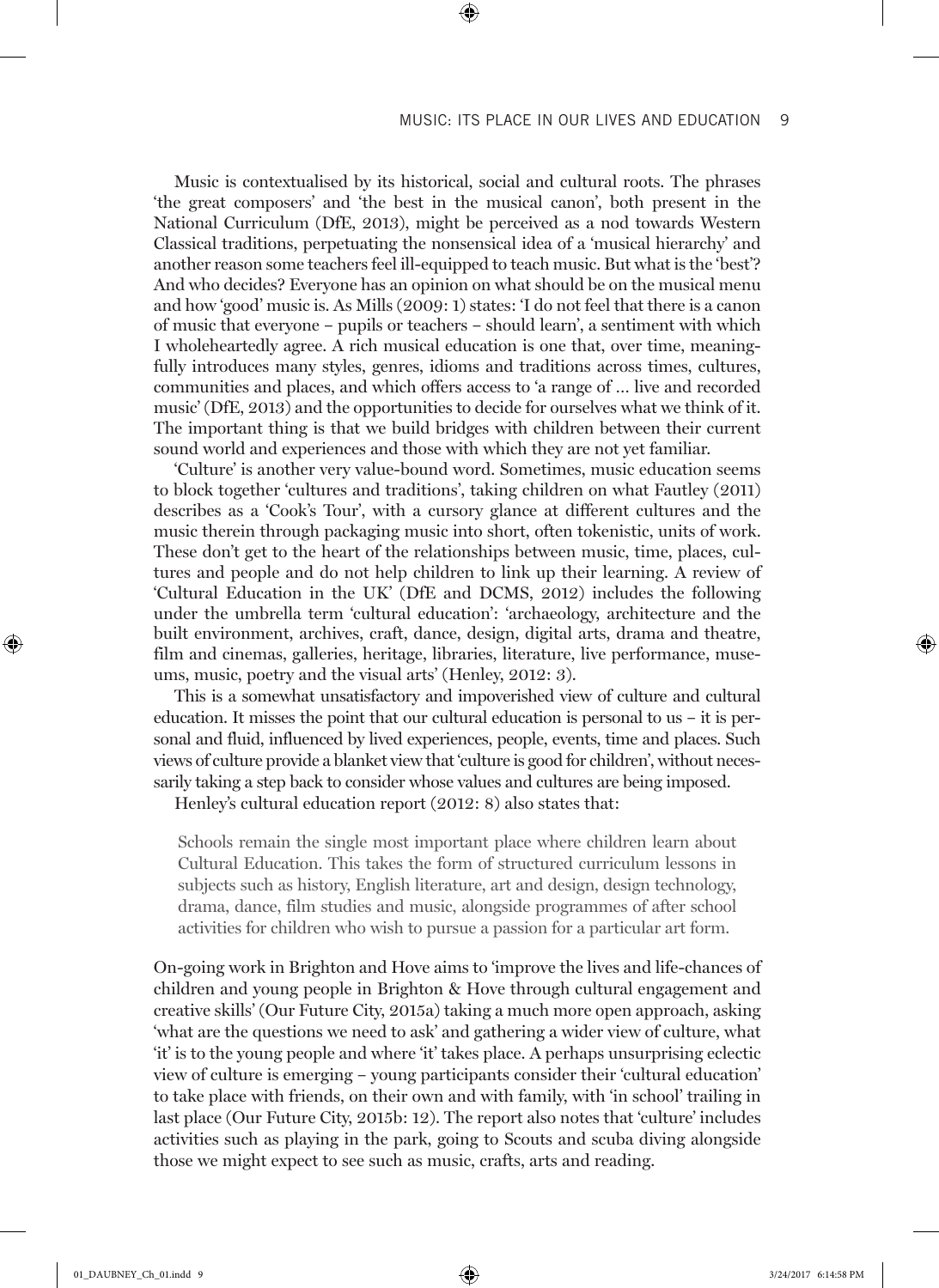Music is contextualised by its historical, social and cultural roots. The phrases 'the great composers' and 'the best in the musical canon', both present in the National Curriculum (DfE, 2013), might be perceived as a nod towards Western Classical traditions, perpetuating the nonsensical idea of a 'musical hierarchy' and another reason some teachers feel ill-equipped to teach music. But what is the 'best'? And who decides? Everyone has an opinion on what should be on the musical menu and how 'good' music is. As Mills (2009: 1) states: 'I do not feel that there is a canon of music that everyone – pupils or teachers – should learn', a sentiment with which I wholeheartedly agree. A rich musical education is one that, over time, meaningfully introduces many styles, genres, idioms and traditions across times, cultures, communities and places, and which offers access to 'a range of … live and recorded music' (DfE, 2013) and the opportunities to decide for ourselves what we think of it. The important thing is that we build bridges with children between their current sound world and experiences and those with which they are not yet familiar.

⊕

'Culture' is another very value-bound word. Sometimes, music education seems to block together 'cultures and traditions', taking children on what Fautley (2011) describes as a 'Cook's Tour', with a cursory glance at different cultures and the music therein through packaging music into short, often tokenistic, units of work. These don't get to the heart of the relationships between music, time, places, cultures and people and do not help children to link up their learning. A review of 'Cultural Education in the UK' (DfE and DCMS, 2012) includes the following under the umbrella term 'cultural education': 'archaeology, architecture and the built environment, archives, craft, dance, design, digital arts, drama and theatre, film and cinemas, galleries, heritage, libraries, literature, live performance, museums, music, poetry and the visual arts' (Henley, 2012: 3).

This is a somewhat unsatisfactory and impoverished view of culture and cultural education. It misses the point that our cultural education is personal to us  $-$  it is personal and fluid, influenced by lived experiences, people, events, time and places. Such views of culture provide a blanket view that 'culture is good for children', without necessarily taking a step back to consider whose values and cultures are being imposed.

Henley's cultural education report (2012: 8) also states that:

Schools remain the single most important place where children learn about Cultural Education. This takes the form of structured curriculum lessons in subjects such as history, English literature, art and design, design technology, drama, dance, film studies and music, alongside programmes of after school activities for children who wish to pursue a passion for a particular art form.

On-going work in Brighton and Hove aims to 'improve the lives and life-chances of children and young people in Brighton & Hove through cultural engagement and creative skills' (Our Future City, 2015a) taking a much more open approach, asking 'what are the questions we need to ask' and gathering a wider view of culture, what 'it' is to the young people and where 'it' takes place. A perhaps unsurprising eclectic view of culture is emerging – young participants consider their 'cultural education' to take place with friends, on their own and with family, with 'in school' trailing in last place (Our Future City, 2015b: 12). The report also notes that 'culture' includes activities such as playing in the park, going to Scouts and scuba diving alongside those we might expect to see such as music, crafts, arts and reading.

⊕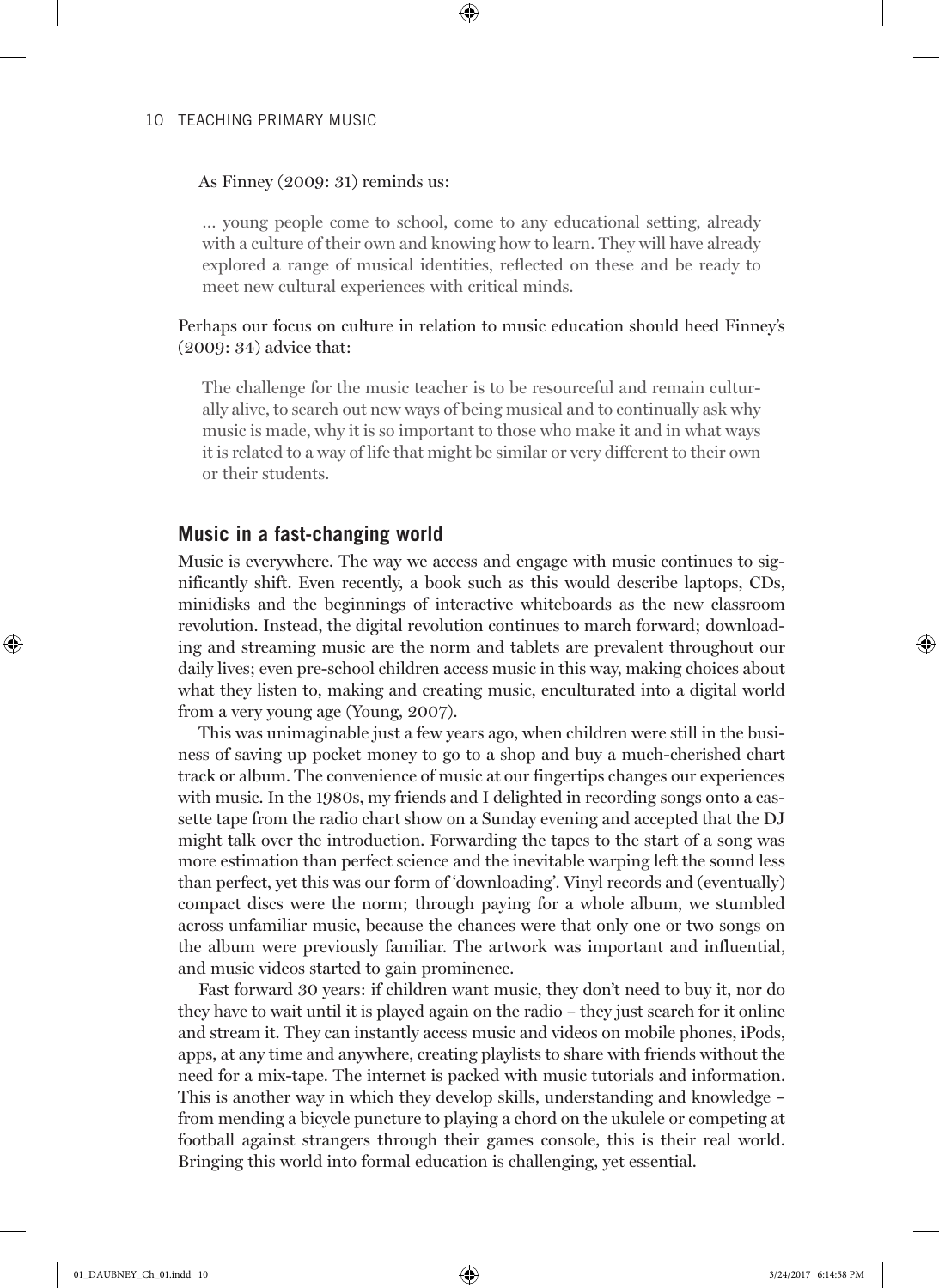#### As Finney (2009: 31) reminds us:

… young people come to school, come to any educational setting, already with a culture of their own and knowing how to learn. They will have already explored a range of musical identities, reflected on these and be ready to meet new cultural experiences with critical minds.

⊕

#### Perhaps our focus on culture in relation to music education should heed Finney's (2009: 34) advice that:

The challenge for the music teacher is to be resourceful and remain culturally alive, to search out new ways of being musical and to continually ask why music is made, why it is so important to those who make it and in what ways it is related to a way of life that might be similar or very different to their own or their students.

#### **Music in a fast-changing world**

Music is everywhere. The way we access and engage with music continues to significantly shift. Even recently, a book such as this would describe laptops, CDs, minidisks and the beginnings of interactive whiteboards as the new classroom revolution. Instead, the digital revolution continues to march forward; downloading and streaming music are the norm and tablets are prevalent throughout our daily lives; even pre-school children access music in this way, making choices about what they listen to, making and creating music, enculturated into a digital world from a very young age (Young, 2007).

This was unimaginable just a few years ago, when children were still in the business of saving up pocket money to go to a shop and buy a much-cherished chart track or album. The convenience of music at our fingertips changes our experiences with music. In the 1980s, my friends and I delighted in recording songs onto a cassette tape from the radio chart show on a Sunday evening and accepted that the DJ might talk over the introduction. Forwarding the tapes to the start of a song was more estimation than perfect science and the inevitable warping left the sound less than perfect, yet this was our form of 'downloading'. Vinyl records and (eventually) compact discs were the norm; through paying for a whole album, we stumbled across unfamiliar music, because the chances were that only one or two songs on the album were previously familiar. The artwork was important and influential, and music videos started to gain prominence.

Fast forward 30 years: if children want music, they don't need to buy it, nor do they have to wait until it is played again on the radio – they just search for it online and stream it. They can instantly access music and videos on mobile phones, iPods, apps, at any time and anywhere, creating playlists to share with friends without the need for a mix-tape. The internet is packed with music tutorials and information. This is another way in which they develop skills, understanding and knowledge – from mending a bicycle puncture to playing a chord on the ukulele or competing at football against strangers through their games console, this is their real world. Bringing this world into formal education is challenging, yet essential.

⊕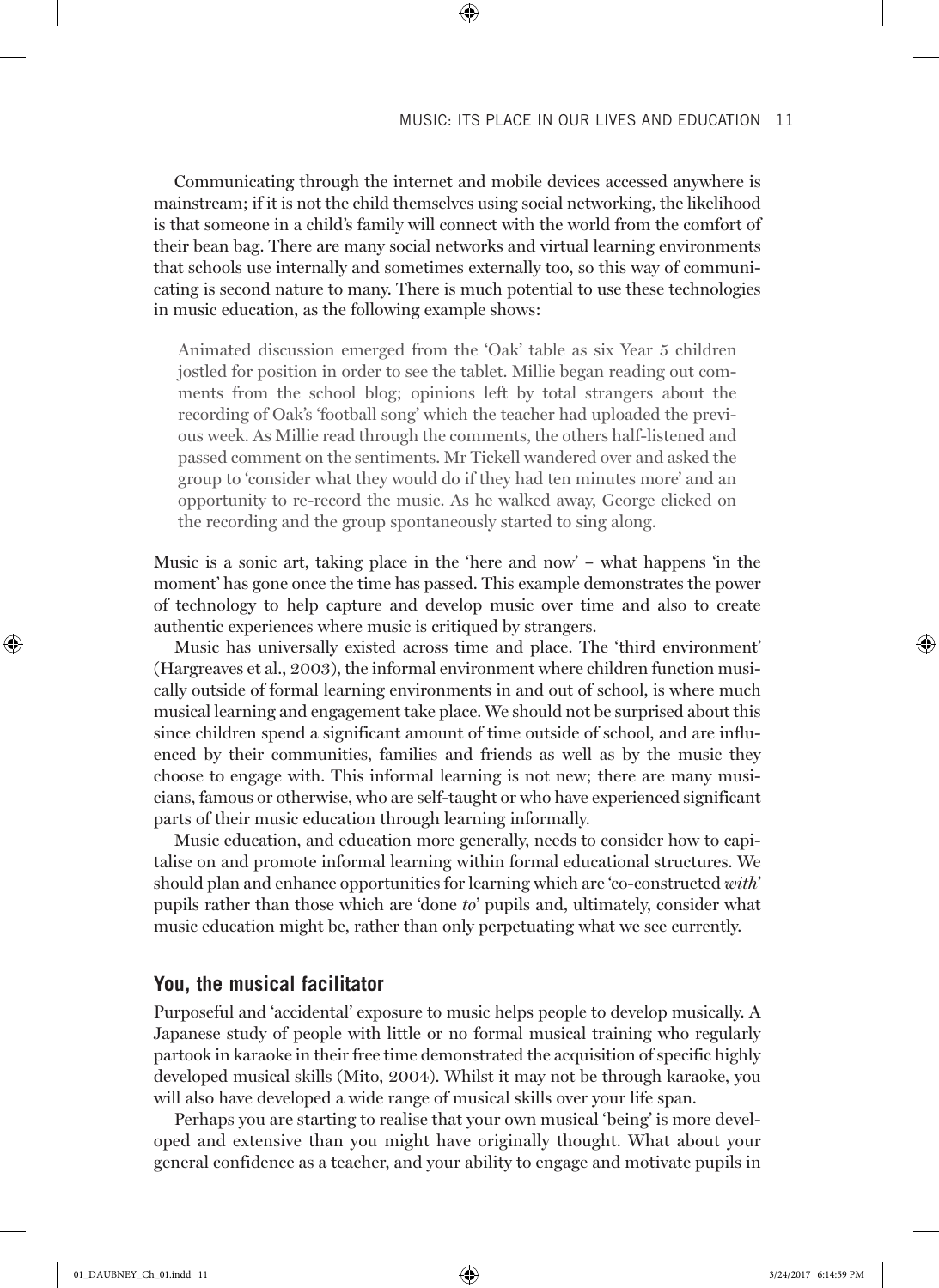Communicating through the internet and mobile devices accessed anywhere is mainstream; if it is not the child themselves using social networking, the likelihood is that someone in a child's family will connect with the world from the comfort of their bean bag. There are many social networks and virtual learning environments that schools use internally and sometimes externally too, so this way of communicating is second nature to many. There is much potential to use these technologies in music education, as the following example shows:

⊕

Animated discussion emerged from the 'Oak' table as six Year 5 children jostled for position in order to see the tablet. Millie began reading out comments from the school blog; opinions left by total strangers about the recording of Oak's 'football song' which the teacher had uploaded the previous week. As Millie read through the comments, the others half-listened and passed comment on the sentiments. Mr Tickell wandered over and asked the group to 'consider what they would do if they had ten minutes more' and an opportunity to re-record the music. As he walked away, George clicked on the recording and the group spontaneously started to sing along.

Music is a sonic art, taking place in the 'here and now' – what happens 'in the moment' has gone once the time has passed. This example demonstrates the power of technology to help capture and develop music over time and also to create authentic experiences where music is critiqued by strangers.

Music has universally existed across time and place. The 'third environment' (Hargreaves et al., 2003), the informal environment where children function musically outside of formal learning environments in and out of school, is where much musical learning and engagement take place. We should not be surprised about this since children spend a significant amount of time outside of school, and are influenced by their communities, families and friends as well as by the music they choose to engage with. This informal learning is not new; there are many musicians, famous or otherwise, who are self-taught or who have experienced significant parts of their music education through learning informally.

Music education, and education more generally, needs to consider how to capitalise on and promote informal learning within formal educational structures. We should plan and enhance opportunities for learning which are 'co-constructed *with*' pupils rather than those which are 'done *to*' pupils and, ultimately, consider what music education might be, rather than only perpetuating what we see currently.

#### **You, the musical facilitator**

Purposeful and 'accidental' exposure to music helps people to develop musically. A Japanese study of people with little or no formal musical training who regularly partook in karaoke in their free time demonstrated the acquisition of specific highly developed musical skills (Mito, 2004). Whilst it may not be through karaoke, you will also have developed a wide range of musical skills over your life span.

Perhaps you are starting to realise that your own musical 'being' is more developed and extensive than you might have originally thought. What about your general confidence as a teacher, and your ability to engage and motivate pupils in

⊕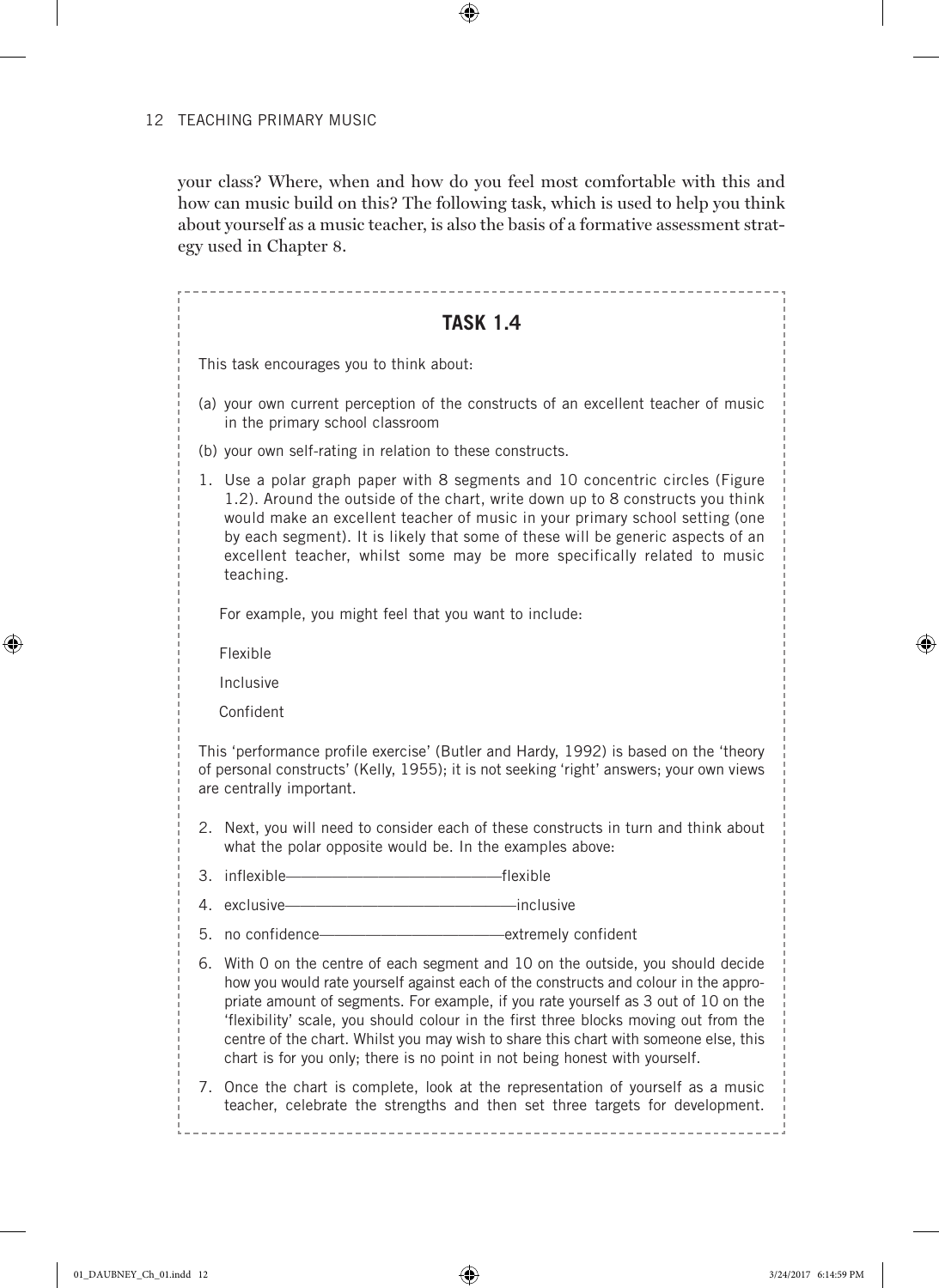your class? Where, when and how do you feel most comfortable with this and how can music build on this? The following task, which is used to help you think about yourself as a music teacher, is also the basis of a formative assessment strategy used in Chapter 8.

 $\bigoplus$ 

| <b>TASK 1.4</b>                                                                                                                                                                                                                                                                                                                                                                                                                                                                                                                 |
|---------------------------------------------------------------------------------------------------------------------------------------------------------------------------------------------------------------------------------------------------------------------------------------------------------------------------------------------------------------------------------------------------------------------------------------------------------------------------------------------------------------------------------|
| This task encourages you to think about:                                                                                                                                                                                                                                                                                                                                                                                                                                                                                        |
| (a) your own current perception of the constructs of an excellent teacher of music<br>in the primary school classroom                                                                                                                                                                                                                                                                                                                                                                                                           |
| (b) your own self-rating in relation to these constructs.                                                                                                                                                                                                                                                                                                                                                                                                                                                                       |
| 1. Use a polar graph paper with 8 segments and 10 concentric circles (Figure<br>1.2). Around the outside of the chart, write down up to 8 constructs you think<br>would make an excellent teacher of music in your primary school setting (one<br>by each segment). It is likely that some of these will be generic aspects of an<br>excellent teacher, whilst some may be more specifically related to music<br>teaching.                                                                                                      |
| For example, you might feel that you want to include:                                                                                                                                                                                                                                                                                                                                                                                                                                                                           |
| Flexible                                                                                                                                                                                                                                                                                                                                                                                                                                                                                                                        |
| Inclusive                                                                                                                                                                                                                                                                                                                                                                                                                                                                                                                       |
| Confident                                                                                                                                                                                                                                                                                                                                                                                                                                                                                                                       |
| This 'performance profile exercise' (Butler and Hardy, 1992) is based on the 'theory<br>of personal constructs' (Kelly, 1955); it is not seeking 'right' answers; your own views<br>are centrally important.                                                                                                                                                                                                                                                                                                                    |
| 2. Next, you will need to consider each of these constructs in turn and think about<br>what the polar opposite would be. In the examples above:                                                                                                                                                                                                                                                                                                                                                                                 |
| 3. inflexible flexible flexible                                                                                                                                                                                                                                                                                                                                                                                                                                                                                                 |
| 4. exclusive inclusive inclusive                                                                                                                                                                                                                                                                                                                                                                                                                                                                                                |
| 5. no confidence-<br>The extremely confident                                                                                                                                                                                                                                                                                                                                                                                                                                                                                    |
| With 0 on the centre of each segment and 10 on the outside, you should decide<br>6.<br>how you would rate yourself against each of the constructs and colour in the appro-<br>priate amount of segments. For example, if you rate yourself as 3 out of 10 on the<br>'flexibility' scale, you should colour in the first three blocks moving out from the<br>centre of the chart. Whilst you may wish to share this chart with someone else, this<br>chart is for you only; there is no point in not being honest with yourself. |
| 7. Once the chart is complete, look at the representation of yourself as a music<br>teacher, celebrate the strengths and then set three targets for development.                                                                                                                                                                                                                                                                                                                                                                |

 $\bigoplus$ 

 $\bigoplus$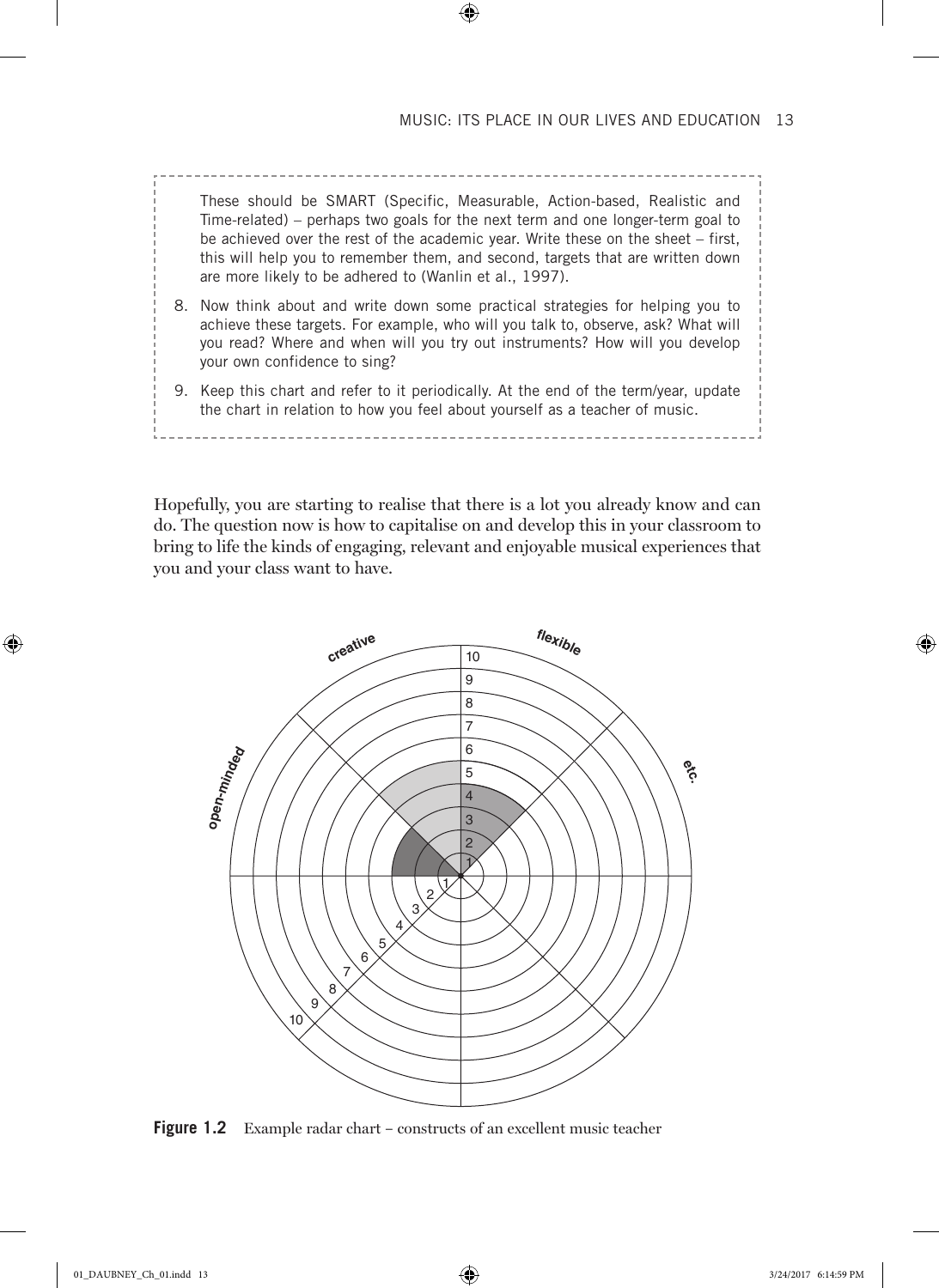\_\_\_\_\_\_\_\_\_\_\_\_\_\_\_\_\_\_\_\_\_\_\_\_\_\_\_\_\_\_\_\_

These should be SMART (Specific, Measurable, Action-based, Realistic and Time-related) – perhaps two goals for the next term and one longer-term goal to be achieved over the rest of the academic year. Write these on the sheet – first, this will help you to remember them, and second, targets that are written down are more likely to be adhered to (Wanlin et al., 1997).

 $\bigoplus$ 

- 8. Now think about and write down some practical strategies for helping you to achieve these targets. For example, who will you talk to, observe, ask? What will you read? Where and when will you try out instruments? How will you develop your own confidence to sing?
- 9. Keep this chart and refer to it periodically. At the end of the term/year, update the chart in relation to how you feel about yourself as a teacher of music.

Hopefully, you are starting to realise that there is a lot you already know and can do. The question now is how to capitalise on and develop this in your classroom to bring to life the kinds of engaging, relevant and enjoyable musical experiences that you and your class want to have.



**Figure 1.2** Example radar chart – constructs of an excellent music teacher

⊕